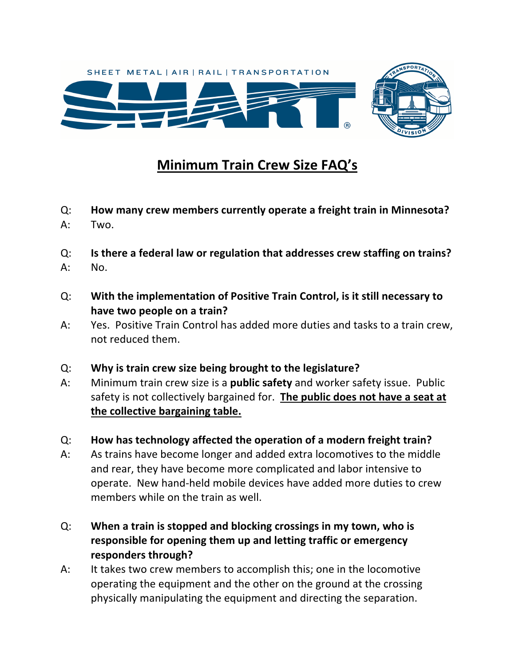

## **Minimum Train Crew Size FAQ's**

- Q: **How many crew members currently operate a freight train in Minnesota?**
- A: Two.
- Q: **Is there a federal law or regulation that addresses crew staffing on trains?**
- A: No.
- Q: **With the implementation of Positive Train Control, is it still necessary to have two people on a train?**
- A: Yes. Positive Train Control has added more duties and tasks to a train crew, not reduced them.
- Q: **Why is train crew size being brought to the legislature?**
- A: Minimum train crew size is a **public safety** and worker safety issue. Public safety is not collectively bargained for. **The public does not have a seat at the collective bargaining table.**
- Q: **How has technology affected the operation of a modern freight train?**
- A: As trains have become longer and added extra locomotives to the middle and rear, they have become more complicated and labor intensive to operate. New hand-held mobile devices have added more duties to crew members while on the train as well.
- Q: **When a train is stopped and blocking crossings in my town, who is responsible for opening them up and letting traffic or emergency responders through?**
- A: It takes two crew members to accomplish this; one in the locomotive operating the equipment and the other on the ground at the crossing physically manipulating the equipment and directing the separation.